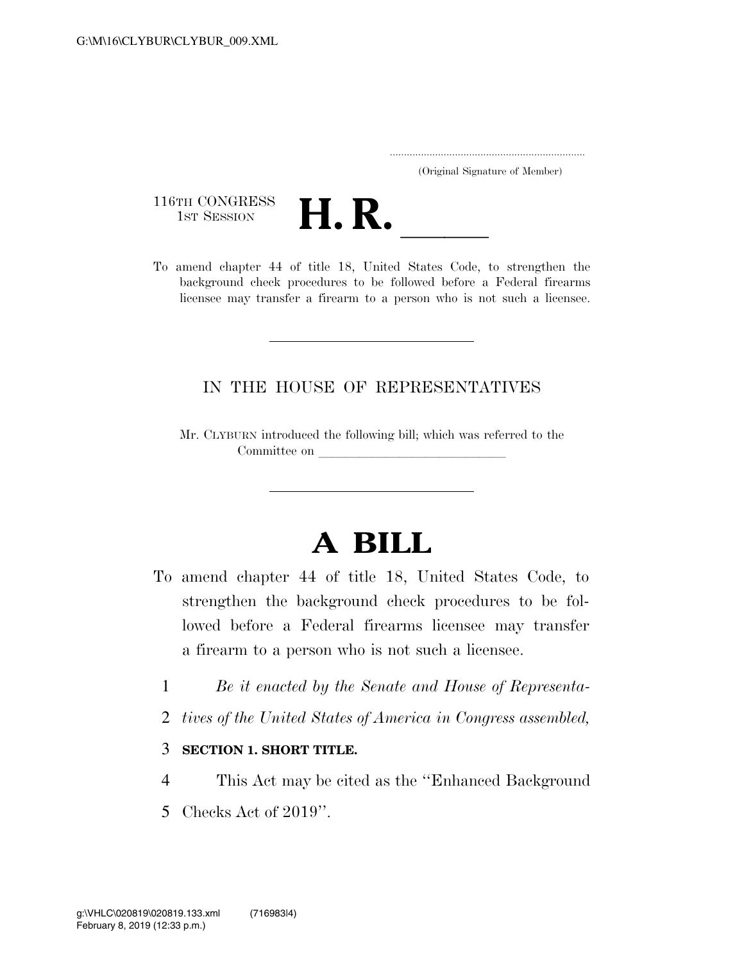..................................................................... (Original Signature of Member)

116TH CONGRESS<br>1st Session



116TH CONGRESS<br>
1st SESSION<br>
To amend chapter 44 of title 18, United States Code, to strengthen the background check procedures to be followed before a Federal firearms licensee may transfer a firearm to a person who is not such a licensee.

## IN THE HOUSE OF REPRESENTATIVES

Mr. CLYBURN introduced the following bill; which was referred to the Committee on

## **A BILL**

- To amend chapter 44 of title 18, United States Code, to strengthen the background check procedures to be followed before a Federal firearms licensee may transfer a firearm to a person who is not such a licensee.
	- 1 *Be it enacted by the Senate and House of Representa-*
	- 2 *tives of the United States of America in Congress assembled,*

## 3 **SECTION 1. SHORT TITLE.**

- 4 This Act may be cited as the ''Enhanced Background
- 5 Checks Act of 2019''.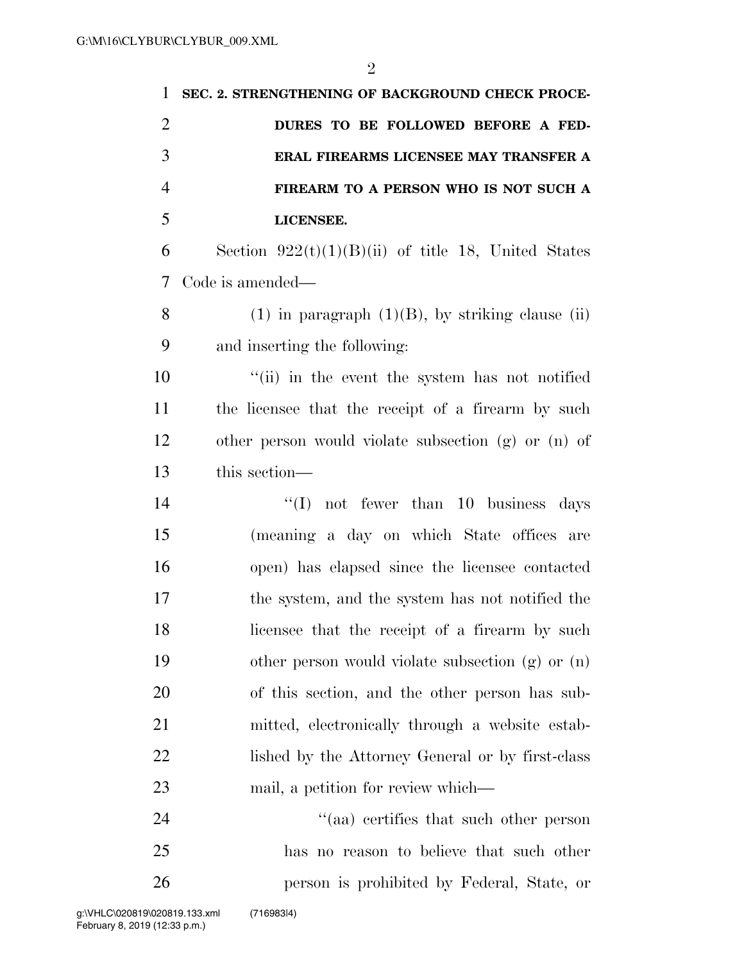| 1              | SEC. 2. STRENGTHENING OF BACKGROUND CHECK PROCE-        |
|----------------|---------------------------------------------------------|
| $\overline{2}$ | DURES TO BE FOLLOWED BEFORE A FED-                      |
| 3              | ERAL FIREARMS LICENSEE MAY TRANSFER A                   |
| $\overline{4}$ | FIREARM TO A PERSON WHO IS NOT SUCH A                   |
| 5              | LICENSEE.                                               |
| 6              | Section $922(t)(1)(B)(ii)$ of title 18, United States   |
| 7              | Code is amended—                                        |
| 8              | $(1)$ in paragraph $(1)(B)$ , by striking clause (ii)   |
| 9              | and inserting the following:                            |
| 10             | "(ii) in the event the system has not notified          |
| 11             | the licensee that the receipt of a firearm by such      |
| 12             | other person would violate subsection $(g)$ or $(n)$ of |
| 13             | this section-                                           |
| 14             | not fewer than 10 business days<br>``(I)                |
| 15             | (meaning a day on which State offices are               |
| 16             | open) has elapsed since the licensee contacted          |
| 17             | the system, and the system has not notified the         |
| 18             | licensee that the receipt of a firearm by such          |
| 19             | other person would violate subsection (g) or (n)        |
| 20             | of this section, and the other person has sub-          |
| 21             | mitted, electronically through a website estab-         |
| 22             | lished by the Attorney General or by first-class        |
| 23             | mail, a petition for review which—                      |
| 24             | "(aa) certifies that such other person                  |
| 25             | has no reason to believe that such other                |
| 26             | person is prohibited by Federal, State, or              |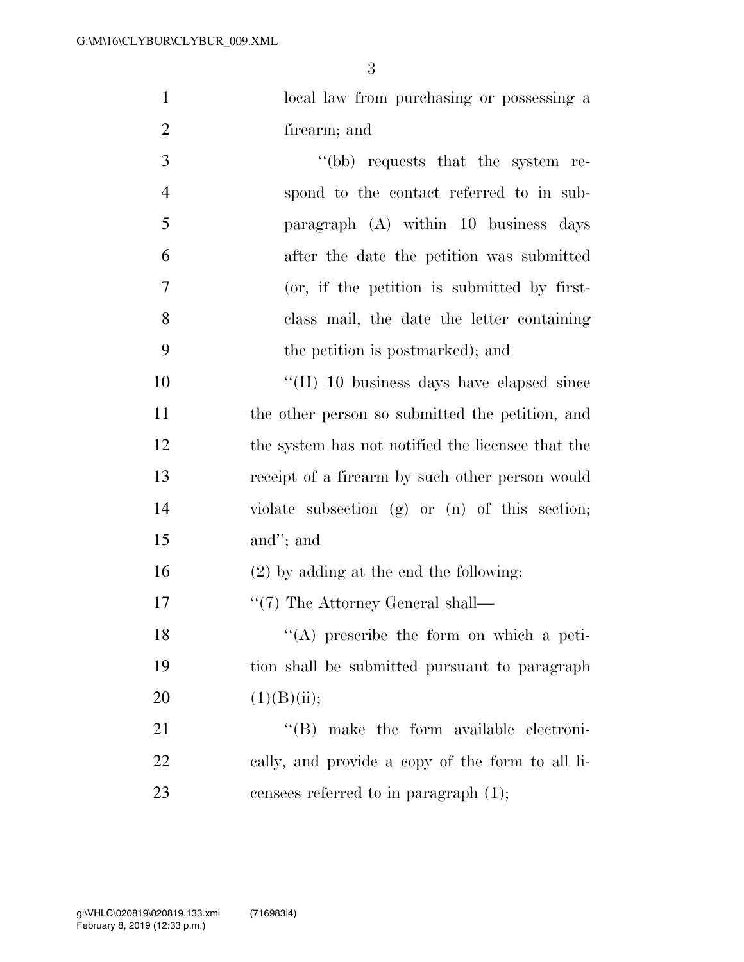3

| $\mathbf{1}$   | local law from purchasing or possessing a          |
|----------------|----------------------------------------------------|
| $\overline{2}$ | firearm; and                                       |
| 3              | "(bb) requests that the system re-                 |
| $\overline{4}$ | spond to the contact referred to in sub-           |
| 5              | paragraph (A) within 10 business days              |
| 6              | after the date the petition was submitted          |
| 7              | (or, if the petition is submitted by first-        |
| 8              | class mail, the date the letter containing         |
| 9              | the petition is postmarked); and                   |
| 10             | $\lq\lq$ (II) 10 business days have elapsed since  |
| 11             | the other person so submitted the petition, and    |
| 12             | the system has not notified the licensee that the  |
| 13             | receipt of a firearm by such other person would    |
| 14             | violate subsection $(g)$ or $(n)$ of this section; |
| 15             | and"; and                                          |
| 16             | $(2)$ by adding at the end the following:          |
| 17             | $\lq(7)$ The Attorney General shall—               |
| 18             | $(4)$ prescribe the form on which a peti-          |
| 19             | tion shall be submitted pursuant to paragraph      |
| 20             | (1)(B)(ii);                                        |
| 21             | $\lq\lq$ (B) make the form available electroni-    |
| 22             | cally, and provide a copy of the form to all li-   |
| 23             | censees referred to in paragraph $(1)$ ;           |